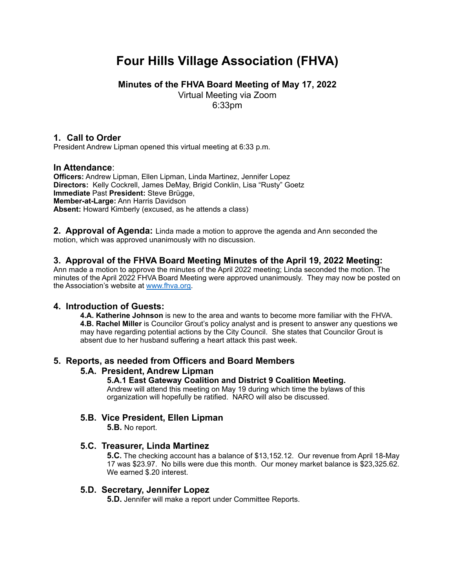# **Four Hills Village Association (FHVA)**

**Minutes of the FHVA Board Meeting of May 17, 2022**

Virtual Meeting via Zoom

6:33pm

# **1. Call to Order**

President Andrew Lipman opened this virtual meeting at 6:33 p.m.

# **In Attendance**:

**Officers:** Andrew Lipman, Ellen Lipman, Linda Martinez, Jennifer Lopez **Directors:** Kelly Cockrell, James DeMay, Brigid Conklin, Lisa "Rusty" Goetz **Immediate** Past **President:** Steve Brügge, **Member-at-Large:** Ann Harris Davidson **Absent:** Howard Kimberly (excused, as he attends a class)

**2. Approval of Agenda:** Linda made a motion to approve the agenda and Ann seconded the motion, which was approved unanimously with no discussion.

# **3. Approval of the FHVA Board Meeting Minutes of the April 19, 2022 Meeting:**

Ann made a motion to approve the minutes of the April 2022 meeting; Linda seconded the motion. The minutes of the April 2022 FHVA Board Meeting were approved unanimously. They may now be posted on the Association's website at [www.fhva.org.](http://www.fhva.org)

# **4. Introduction of Guests:**

**4.A. Katherine Johnson** is new to the area and wants to become more familiar with the FHVA. **4.B. Rachel Miller** is Councilor Grout's policy analyst and is present to answer any questions we may have regarding potential actions by the City Council. She states that Councilor Grout is absent due to her husband suffering a heart attack this past week.

## **5. Reports, as needed from Officers and Board Members**

# **5.A. President, Andrew Lipman**

**5.A.1 East Gateway Coalition and District 9 Coalition Meeting.**

Andrew will attend this meeting on May 19 during which time the bylaws of this organization will hopefully be ratified. NARO will also be discussed.

# **5.B. Vice President, Ellen Lipman**

**5.B.** No report.

## **5.C. Treasurer, Linda Martinez**

**5.C.** The checking account has a balance of \$13,152.12. Our revenue from April 18-May 17 was \$23.97. No bills were due this month. Our money market balance is \$23,325.62. We earned \$.20 interest.

## **5.D. Secretary, Jennifer Lopez**

**5.D.** Jennifer will make a report under Committee Reports.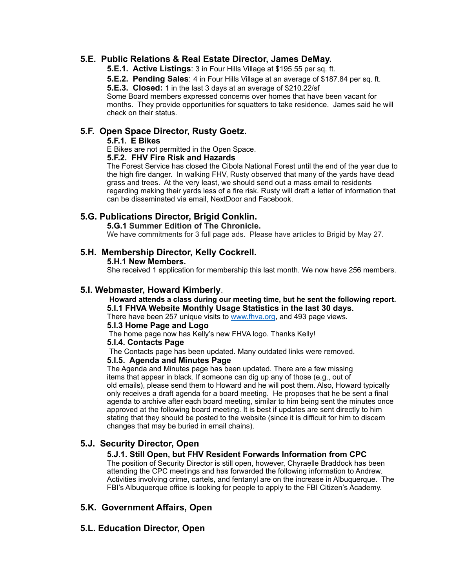## **5.E. Public Relations & Real Estate Director, James DeMay.**

**5.E.1. Active Listings**: 3 in Four Hills Village at \$195.55 per sq. ft.

**5.E.2. Pending Sales**: 4 in Four Hills Village at an average of \$187.84 per sq. ft.

**5.E.3. Closed:** 1 in the last 3 days at an average of \$210.22/sf

Some Board members expressed concerns over homes that have been vacant for months. They provide opportunities for squatters to take residence. James said he will check on their status.

## **5.F. Open Space Director, Rusty Goetz.**

#### **5.F.1. E Bikes**

E Bikes are not permitted in the Open Space.

## **5.F.2. FHV Fire Risk and Hazards**

The Forest Service has closed the Cibola National Forest until the end of the year due to the high fire danger. In walking FHV, Rusty observed that many of the yards have dead grass and trees. At the very least, we should send out a mass email to residents regarding making their yards less of a fire risk. Rusty will draft a letter of information that can be disseminated via email, NextDoor and Facebook.

## **5.G. Publications Director, Brigid Conklin.**

## **5.G.1 Summer Edition of The Chronicle.**

We have commitments for 3 full page ads. Please have articles to Brigid by May 27.

## **5.H. Membership Director, Kelly Cockrell.**

#### **5.H.1 New Members.**

She received 1 application for membership this last month. We now have 256 members.

## **5.I. Webmaster, Howard Kimberly**.

#### **Howard attends a class during our meeting time, but he sent the following report. 5.I.1 FHVA Website Monthly Usage Statistics in the last 30 days.**

There have been 257 unique visits to [www.fhva.org,](http://www.fhva.org) and 493 page views.

#### **5.I.3 Home Page and Logo**

The home page now has Kelly's new FHVA logo. Thanks Kelly!

## **5.I.4. Contacts Page**

The Contacts page has been updated. Many outdated links were removed.

#### **5.I.5. Agenda and Minutes Page**

The Agenda and Minutes page has been updated. There are a few missing items that appear in black. If someone can dig up any of those (e.g., out of old emails), please send them to Howard and he will post them. Also, Howard typically only receives a draft agenda for a board meeting. He proposes that he be sent a final agenda to archive after each board meeting, similar to him being sent the minutes once approved at the following board meeting. It is best if updates are sent directly to him stating that they should be posted to the website (since it is difficult for him to discern changes that may be buried in email chains).

## **5.J. Security Director, Open**

## **5.J.1. Still Open, but FHV Resident Forwards Information from CPC**

The position of Security Director is still open, however, Chyraelle Braddock has been attending the CPC meetings and has forwarded the following information to Andrew. Activities involving crime, cartels, and fentanyl are on the increase in Albuquerque. The FBI's Albuquerque office is looking for people to apply to the FBI Citizen's Academy.

## **5.K. Government Affairs, Open**

## **5.L. Education Director, Open**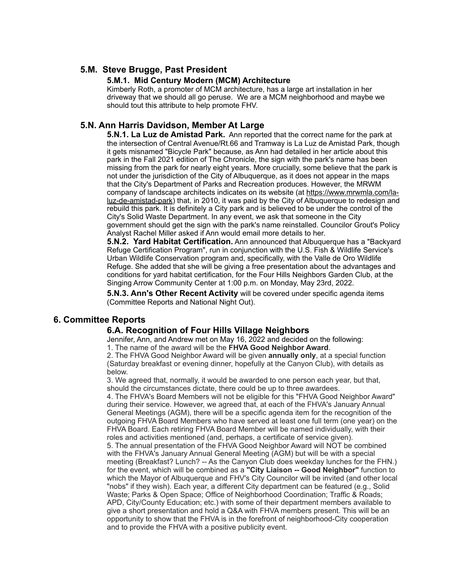## **5.M. Steve Brugge, Past President**

## **5.M.1. Mid Century Modern (MCM) Architecture**

Kimberly Roth, a promoter of MCM architecture, has a large art installation in her driveway that we should all go peruse. We are a MCM neighborhood and maybe we should tout this attribute to help promote FHV.

## **5.N. Ann Harris Davidson, Member At Large**

**5.N.1. La Luz de Amistad Park.** Ann reported that the correct name for the park at the intersection of Central Avenue/Rt.66 and Tramway is La Luz de Amistad Park, though it gets misnamed "Bicycle Park" because, as Ann had detailed in her article about this park in the Fall 2021 edition of The Chronicle, the sign with the park's name has been missing from the park for nearly eight years. More crucially, some believe that the park is not under the jurisdiction of the City of Albuquerque, as it does not appear in the maps that the City's Department of Parks and Recreation produces. However, the MRWM company of landscape architects indicates on its website (at [https://www.mrwmla.com/la](https://www.mrwmla.com/la-luz-de-amistad-park)[luz-de-amistad-park](https://www.mrwmla.com/la-luz-de-amistad-park)) that, in 2010, it was paid by the City of Albuquerque to redesign and rebuild this park. It is definitely a City park and is believed to be under the control of the City's Solid Waste Department. In any event, we ask that someone in the City government should get the sign with the park's name reinstalled. Councilor Grout's Policy Analyst Rachel Miller asked if Ann would email more details to her.

**5.N.2. Yard Habitat Certification.** Ann announced that Albuquerque has a "Backyard Refuge Certification Program", run in conjunction with the U.S. Fish & Wildlife Service's Urban Wildlife Conservation program and, specifically, with the Valle de Oro Wildlife Refuge. She added that she will be giving a free presentation about the advantages and conditions for yard habitat certification, for the Four Hills Neighbors Garden Club, at the Singing Arrow Community Center at 1:00 p.m. on Monday, May 23rd, 2022.

**5.N.3. Ann's Other Recent Activity** will be covered under specific agenda items (Committee Reports and National Night Out).

## **6. Committee Reports**

## **6.A. Recognition of Four Hills Village Neighbors**

Jennifer, Ann, and Andrew met on May 16, 2022 and decided on the following:

1. The name of the award will be the **FHVA Good Neighbor Award**.

2. The FHVA Good Neighbor Award will be given **annually only**, at a special function (Saturday breakfast or evening dinner, hopefully at the Canyon Club), with details as below.

3. We agreed that, normally, it would be awarded to one person each year, but that, should the circumstances dictate, there could be up to three awardees.

4. The FHVA's Board Members will not be eligible for this "FHVA Good Neighbor Award" during their service. However, we agreed that, at each of the FHVA's January Annual General Meetings (AGM), there will be a specific agenda item for the recognition of the outgoing FHVA Board Members who have served at least one full term (one year) on the FHVA Board. Each retiring FHVA Board Member will be named individually, with their roles and activities mentioned (and, perhaps, a certificate of service given).

5. The annual presentation of the FHVA Good Neighbor Award will NOT be combined with the FHVA's January Annual General Meeting (AGM) but will be with a special meeting (Breakfast? Lunch? -- As the Canyon Club does weekday lunches for the FHN.) for the event, which will be combined as a **"City Liaison -- Good Neighbor"** function to which the Mayor of Albuquerque and FHV's City Councilor will be invited (and other local "nobs" if they wish). Each year, a different City department can be featured (e.g., Solid Waste; Parks & Open Space; Office of Neighborhood Coordination; Traffic & Roads; APD, City/County Education; etc.) with some of their department members available to give a short presentation and hold a Q&A with FHVA members present. This will be an opportunity to show that the FHVA is in the forefront of neighborhood-City cooperation and to provide the FHVA with a positive publicity event.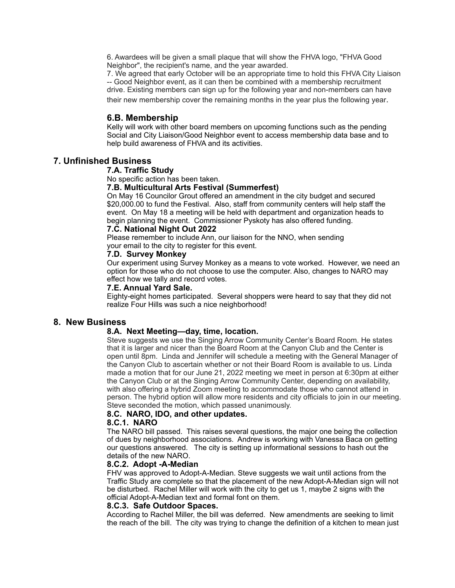6. Awardees will be given a small plaque that will show the FHVA logo, "FHVA Good Neighbor", the recipient's name, and the year awarded.

7. We agreed that early October will be an appropriate time to hold this FHVA City Liaison -- Good Neighbor event, as it can then be combined with a membership recruitment drive. Existing members can sign up for the following year and non-members can have their new membership cover the remaining months in the year plus the following year.

## **6.B. Membership**

Kelly will work with other board members on upcoming functions such as the pending Social and City Liaison/Good Neighbor event to access membership data base and to help build awareness of FHVA and its activities.

## **7. Unfinished Business**

#### **7.A. Traffic Study**

No specific action has been taken.

#### **7.B. Multicultural Arts Festival (Summerfest)**

On May 16 Councilor Grout offered an amendment in the city budget and secured \$20,000.00 to fund the Festival. Also, staff from community centers will help staff the event. On May 18 a meeting will be held with department and organization heads to begin planning the event. Commissioner Pyskoty has also offered funding.

#### **7.C. National Night Out 2022**

Please remember to include Ann, our liaison for the NNO, when sending your email to the city to register for this event.

#### **7.D. Survey Monkey**

Our experiment using Survey Monkey as a means to vote worked. However, we need an option for those who do not choose to use the computer. Also, changes to NARO may effect how we tally and record votes.

#### **7.E. Annual Yard Sale.**

Eighty-eight homes participated. Several shoppers were heard to say that they did not realize Four Hills was such a nice neighborhood!

## **8. New Business**

## **8.A. Next Meeting—day, time, location.**

Steve suggests we use the Singing Arrow Community Center's Board Room. He states that it is larger and nicer than the Board Room at the Canyon Club and the Center is open until 8pm. Linda and Jennifer will schedule a meeting with the General Manager of the Canyon Club to ascertain whether or not their Board Room is available to us. Linda made a motion that for our June 21, 2022 meeting we meet in person at 6:30pm at either the Canyon Club or at the Singing Arrow Community Center, depending on availability, with also offering a hybrid Zoom meeting to accommodate those who cannot attend in person. The hybrid option will allow more residents and city officials to join in our meeting. Steve seconded the motion, which passed unanimously.

#### **8.C. NARO, IDO, and other updates.**

#### **8.C.1. NARO**

The NARO bill passed. This raises several questions, the major one being the collection of dues by neighborhood associations. Andrew is working with Vanessa Baca on getting our questions answered. The city is setting up informational sessions to hash out the details of the new NARO.

#### **8.C.2. Adopt -A-Median**

FHV was approved to Adopt-A-Median. Steve suggests we wait until actions from the Traffic Study are complete so that the placement of the new Adopt-A-Median sign will not be disturbed. Rachel Miller will work with the city to get us 1, maybe 2 signs with the official Adopt-A-Median text and formal font on them.

#### **8.C.3. Safe Outdoor Spaces.**

According to Rachel Miller, the bill was deferred. New amendments are seeking to limit the reach of the bill. The city was trying to change the definition of a kitchen to mean just